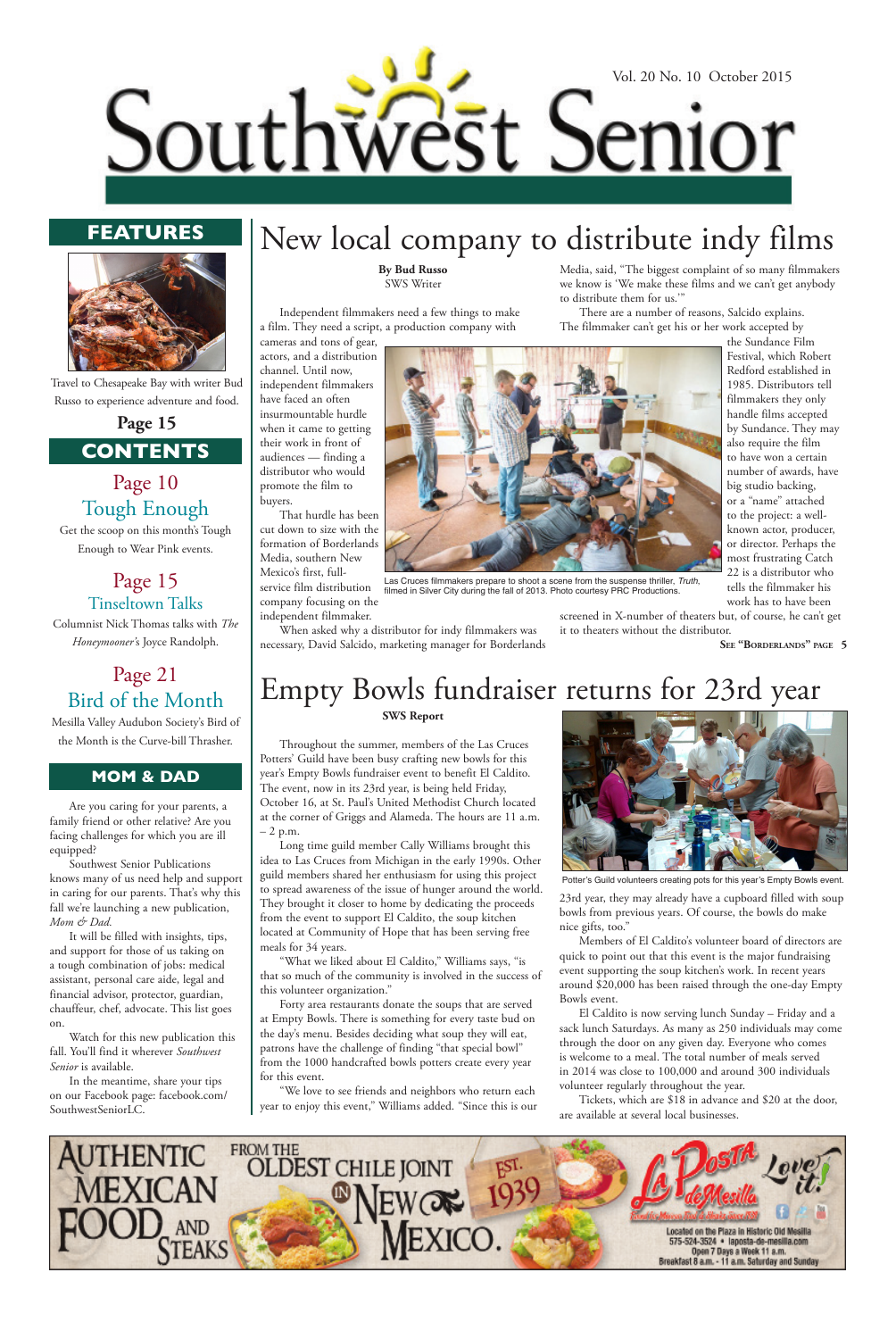

### **MOM & DAD**

## **FEATURES**



## **CONTENTS**

## Page 10 Tough Enough

Get the scoop on this month's Tough Enough to Wear Pink events.

> Page 15 Tinseltown Talks

Columnist Nick Thomas talks with *The Honeymooner'*s Joyce Randolph.

## Page 21 Bird of the Month

Mesilla Valley Audubon Society's Bird of the Month is the Curve-bill Thrasher.

**See "Borderlands" page 5**

Are you caring for your parents, a family friend or other relative? Are you facing challenges for which you are ill equipped?

Southwest Senior Publications knows many of us need help and support in caring for our parents. That's why this fall we're launching a new publication, *Mom & Dad.*

It will be filled with insights, tips, and support for those of us taking on a tough combination of jobs: medical assistant, personal care aide, legal and financial advisor, protector, guardian, chauffeur, chef, advocate. This list goes on.

Watch for this new publication this fall. You'll find it wherever *Southwest Senior* is available.

In the meantime, share your tips on our Facebook page: facebook.com/ SouthwestSeniorLC.

Travel to Chesapeake Bay with writer Bud Russo to experience adventure and food.

**Page 15**

### **SWS Report**

Throughout the summer, members of the Las Cruces Potters' Guild have been busy crafting new bowls for this year's Empty Bowls fundraiser event to benefit El Caldito. The event, now in its 23rd year, is being held Friday, October 16, at St. Paul's United Methodist Church located at the corner of Griggs and Alameda. The hours are 11 a.m. – 2 p.m.

Long time guild member Cally Williams brought this idea to Las Cruces from Michigan in the early 1990s. Other guild members shared her enthusiasm for using this project to spread awareness of the issue of hunger around the world. They brought it closer to home by dedicating the proceeds from the event to support El Caldito, the soup kitchen located at Community of Hope that has been serving free meals for 34 years.

"What we liked about El Caldito," Williams says, "is that so much of the community is involved in the success of this volunteer organization." Forty area restaurants donate the soups that are served at Empty Bowls. There is something for every taste bud on the day's menu. Besides deciding what soup they will eat, patrons have the challenge of finding "that special bowl" from the 1000 handcrafted bowls potters create every year for this event.

"We love to see friends and neighbors who return each year to enjoy this event," Williams added. "Since this is our 23rd year, they may already have a cupboard filled with soup bowls from previous years. Of course, the bowls do make nice gifts, too."

Members of El Caldito's volunteer board of directors are quick to point out that this event is the major fundraising event supporting the soup kitchen's work. In recent years around \$20,000 has been raised through the one-day Empty Bowls event. El Caldito is now serving lunch Sunday – Friday and a sack lunch Saturdays. As many as 250 individuals may come through the door on any given day. Everyone who comes is welcome to a meal. The total number of meals served in 2014 was close to 100,000 and around 300 individuals volunteer regularly throughout the year.

Tickets, which are \$18 in advance and \$20 at the door, are available at several local businesses.



# Empty Bowls fundraiser returns for 23rd year

### **By Bud Russo** SWS Writer

Independent filmmakers need a few things to make a film. They need a script, a production company with

cameras and tons of gear,

actors, and a distribution channel. Until now, independent filmmakers have faced an often insurmountable hurdle when it came to getting their work in front of audiences — finding a distributor who would promote the film to buyers.

That hurdle has been cut down to size with the formation of Borderlands Media, southern New Mexico's first, full-

service film distribution company focusing on the independent filmmaker.

When asked why a distributor for indy filmmakers was necessary, David Salcido, marketing manager for Borderlands Media, said, "The biggest complaint of so many filmmakers we know is 'We make these films and we can't get anybody to distribute them for us.'"

There are a number of reasons, Salcido explains. The filmmaker can't get his or her work accepted by the Sundance Film

> Festival, which Robert Redford established in 1985. Distributors tell filmmakers they only handle films accepted by Sundance. They may also require the film to have won a certain number of awards, have big studio backing, or a "name" attached to the project: a well-



or director. Perhaps the most frustrating Catch 22 is a distributor who tells the filmmaker his work has to have been

screened in X-number of theaters but, of course, he can't get it to theaters without the distributor.

New local company to distribute indy films

Las Cruces filmmakers prepare to shoot a scene from the suspense thriller, *Truth*, filmed in Silver City during the fall of 2013. Photo courtesy PRC Productions.



Potter's Guild volunteers creating pots for this year's Empty Bowls event.